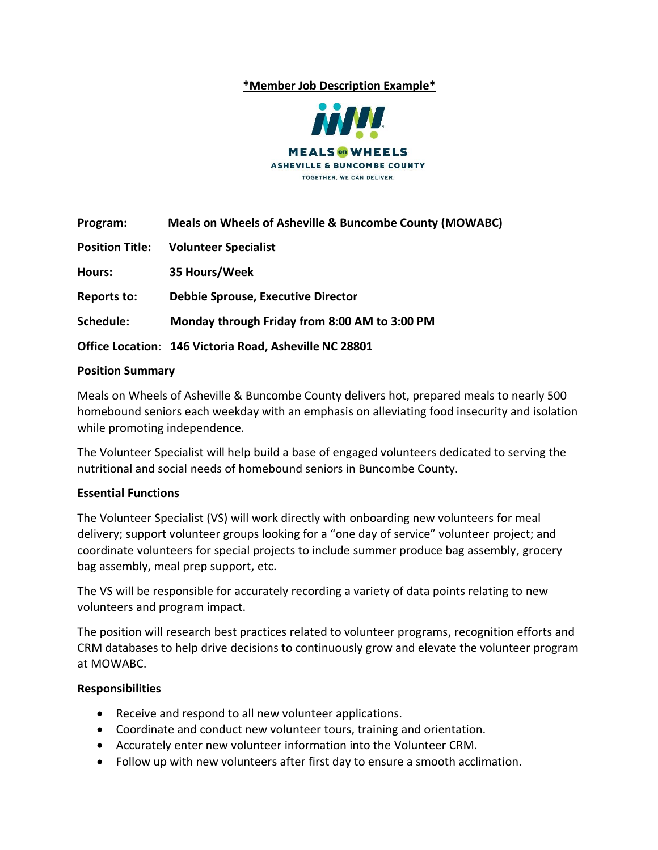## **\*Member Job Description Example\***



| Program:               | Meals on Wheels of Asheville & Buncombe County (MOWABC) |
|------------------------|---------------------------------------------------------|
| <b>Position Title:</b> | <b>Volunteer Specialist</b>                             |
| Hours:                 | 35 Hours/Week                                           |
| <b>Reports to:</b>     | <b>Debbie Sprouse, Executive Director</b>               |
| Schedule:              | Monday through Friday from 8:00 AM to 3:00 PM           |
|                        | Office Location: 146 Victoria Road, Asheville NC 28801  |

### **Position Summary**

Meals on Wheels of Asheville & Buncombe County delivers hot, prepared meals to nearly 500 homebound seniors each weekday with an emphasis on alleviating food insecurity and isolation while promoting independence.

The Volunteer Specialist will help build a base of engaged volunteers dedicated to serving the nutritional and social needs of homebound seniors in Buncombe County.

### **Essential Functions**

The Volunteer Specialist (VS) will work directly with onboarding new volunteers for meal delivery; support volunteer groups looking for a "one day of service" volunteer project; and coordinate volunteers for special projects to include summer produce bag assembly, grocery bag assembly, meal prep support, etc.

The VS will be responsible for accurately recording a variety of data points relating to new volunteers and program impact.

The position will research best practices related to volunteer programs, recognition efforts and CRM databases to help drive decisions to continuously grow and elevate the volunteer program at MOWABC.

### **Responsibilities**

- Receive and respond to all new volunteer applications.
- Coordinate and conduct new volunteer tours, training and orientation.
- Accurately enter new volunteer information into the Volunteer CRM.
- Follow up with new volunteers after first day to ensure a smooth acclimation.